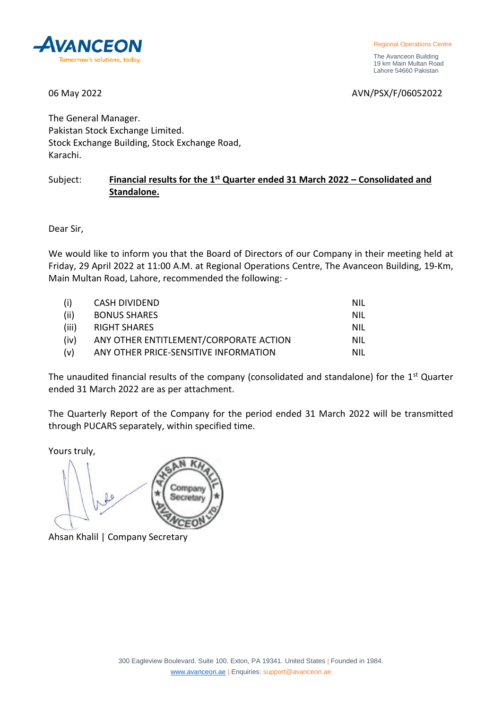

Regional Operations Centre

 The Avanceon Building 19 km Main Multan Road Lahore 54660 Pakistan

06 May 2022 2008 2009 2012 2022 2022 2022 2024 2030 204 205 206 207 208 209 209 209 209 209 209 209 209 209 20

The General Manager. Pakistan Stock Exchange Limited. Stock Exchange Building, Stock Exchange Road, Karachi.

## Subject: **Financial results for the 1st Quarter ended 31 March 2022 – Consolidated and Standalone.**

Dear Sir,

We would like to inform you that the Board of Directors of our Company in their meeting held at Friday, 29 April 2022 at 11:00 A.M. at Regional Operations Centre, The Avanceon Building, 19-Km, Main Multan Road, Lahore, recommended the following: -

| (i)   | CASH DIVIDEND                          | NIL |
|-------|----------------------------------------|-----|
| (ii)  | <b>BONUS SHARES</b>                    | NIL |
| (iii) | RIGHT SHARES                           | NIL |
| (iv)  | ANY OTHER ENTITLEMENT/CORPORATE ACTION | NIL |
| (v)   | ANY OTHER PRICE-SENSITIVE INFORMATION  | NIL |

The unaudited financial results of the company (consolidated and standalone) for the 1<sup>st</sup> Quarter ended 31 March 2022 are as per attachment.

The Quarterly Report of the Company for the period ended 31 March 2022 will be transmitted through PUCARS separately, within specified time.

Yours truly,



Ahsan Khalil | Company Secretary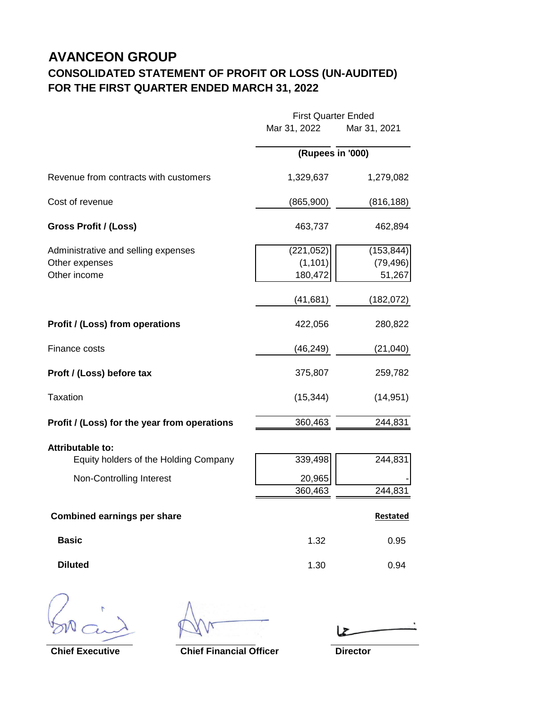## **AVANCEON GROUP CONSOLIDATED STATEMENT OF PROFIT OR LOSS (UN-AUDITED) FOR THE FIRST QUARTER ENDED MARCH 31, 2022**

|                                                                                              | <b>First Quarter Ended</b>                     |                                                 |
|----------------------------------------------------------------------------------------------|------------------------------------------------|-------------------------------------------------|
|                                                                                              | Mar 31, 2022                                   | Mar 31, 2021                                    |
|                                                                                              | (Rupees in '000)                               |                                                 |
| Revenue from contracts with customers                                                        | 1,329,637                                      | 1,279,082                                       |
| Cost of revenue                                                                              | (865, 900)                                     | (816, 188)                                      |
| Gross Profit / (Loss)                                                                        | 463,737                                        | 462,894                                         |
| Administrative and selling expenses<br>Other expenses<br>Other income                        | (221, 052)<br>(1, 101)<br>180,472<br>(41, 681) | (153, 844)<br>(79, 496)<br>51,267<br>(182, 072) |
| <b>Profit / (Loss) from operations</b>                                                       | 422,056                                        | 280,822                                         |
| Finance costs                                                                                | (46, 249)                                      | (21, 040)                                       |
| Proft / (Loss) before tax                                                                    | 375,807                                        | 259,782                                         |
| <b>Taxation</b>                                                                              | (15, 344)                                      | (14, 951)                                       |
| Profit / (Loss) for the year from operations                                                 | 360,463                                        | 244,831                                         |
| <b>Attributable to:</b><br>Equity holders of the Holding Company<br>Non-Controlling Interest | 339,498<br>20,965<br>360,463                   | 244,831<br>244,831                              |
| <b>Combined earnings per share</b>                                                           |                                                | Restated                                        |
| <b>Basic</b>                                                                                 | 1.32                                           | 0.95                                            |
| <b>Diluted</b>                                                                               | 1.30                                           | 0.94                                            |

**Chief Executive Chief Financial Officer Director**